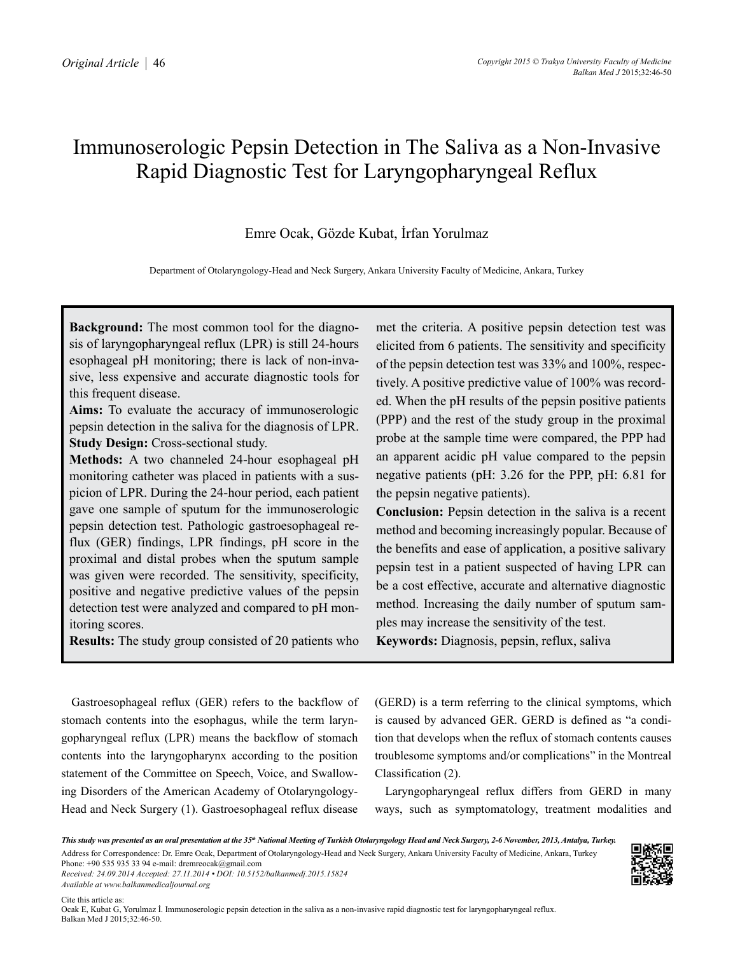# Immunoserologic Pepsin Detection in The Saliva as a Non-Invasive Rapid Diagnostic Test for Laryngopharyngeal Reflux

## Emre Ocak, Gözde Kubat, İrfan Yorulmaz

Department of Otolaryngology-Head and Neck Surgery, Ankara University Faculty of Medicine, Ankara, Turkey

**Background:** The most common tool for the diagnosis of laryngopharyngeal reflux (LPR) is still 24-hours esophageal pH monitoring; there is lack of non-invasive, less expensive and accurate diagnostic tools for this frequent disease.

**Aims:** To evaluate the accuracy of immunoserologic pepsin detection in the saliva for the diagnosis of LPR. **Study Design:** Cross-sectional study.

**Methods:** A two channeled 24-hour esophageal pH monitoring catheter was placed in patients with a suspicion of LPR. During the 24-hour period, each patient gave one sample of sputum for the immunoserologic pepsin detection test. Pathologic gastroesophageal reflux (GER) findings, LPR findings, pH score in the proximal and distal probes when the sputum sample was given were recorded. The sensitivity, specificity, positive and negative predictive values of the pepsin detection test were analyzed and compared to pH monitoring scores.

**Results:** The study group consisted of 20 patients who

met the criteria. A positive pepsin detection test was elicited from 6 patients. The sensitivity and specificity of the pepsin detection test was 33% and 100%, respectively. A positive predictive value of 100% was recorded. When the pH results of the pepsin positive patients (PPP) and the rest of the study group in the proximal probe at the sample time were compared, the PPP had an apparent acidic pH value compared to the pepsin negative patients (pH: 3.26 for the PPP, pH: 6.81 for the pepsin negative patients).

**Conclusion:** Pepsin detection in the saliva is a recent method and becoming increasingly popular. Because of the benefits and ease of application, a positive salivary pepsin test in a patient suspected of having LPR can be a cost effective, accurate and alternative diagnostic method. Increasing the daily number of sputum samples may increase the sensitivity of the test.

**Keywords:** Diagnosis, pepsin, reflux, saliva

Gastroesophageal reflux (GER) refers to the backflow of stomach contents into the esophagus, while the term laryngopharyngeal reflux (LPR) means the backflow of stomach contents into the laryngopharynx according to the position statement of the Committee on Speech, Voice, and Swallowing Disorders of the American Academy of Otolaryngology-Head and Neck Surgery (1). Gastroesophageal reflux disease

(GERD) is a term referring to the clinical symptoms, which is caused by advanced GER. GERD is defined as "a condition that develops when the reflux of stomach contents causes troublesome symptoms and/or complications" in the Montreal Classification (2).

Laryngopharyngeal reflux differs from GERD in many ways, such as symptomatology, treatment modalities and

*This study was presented as an oral presentation at the 35th National Meeting of Turkish Otolaryngology Head and Neck Surgery, 2-6 November, 2013, Antalya, Turkey.* Address for Correspondence: Dr. Emre Ocak, Department of Otolaryngology-Head and Neck Surgery, Ankara University Faculty of Medicine, Ankara, Turkey Phone: +90 535 935 33 94 e-mail: dremreocak@gmail.com *Received: 24.09.2014 Accepted: 27.11.2014 • DOI: 10.5152/balkanmedj.2015.15824 Available at www.balkanmedicaljournal.org*

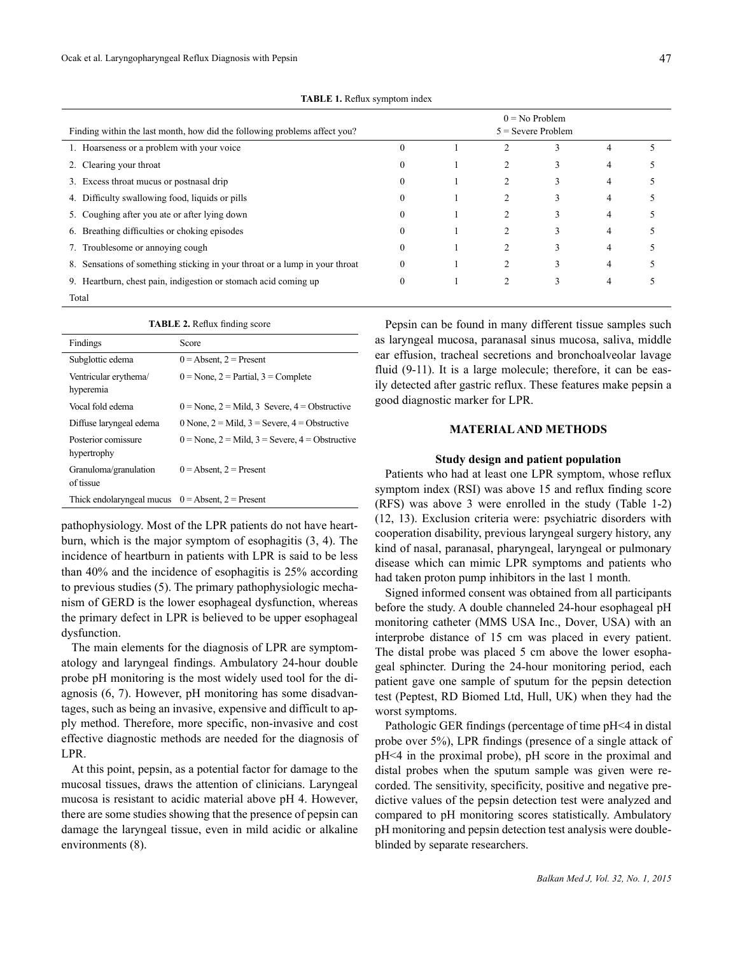| Finding within the last month, how did the following problems affect you?   |          | $0 = No$ Problem<br>$5 =$ Severe Problem |  |        |   |  |
|-----------------------------------------------------------------------------|----------|------------------------------------------|--|--------|---|--|
|                                                                             |          |                                          |  |        |   |  |
| 1. Hoarseness or a problem with your voice                                  | $\Omega$ |                                          |  | J.     | 4 |  |
| 2. Clearing your throat                                                     | $^{(1)}$ |                                          |  | 3      | 4 |  |
| 3. Excess throat mucus or postnasal drip                                    | 0        |                                          |  |        | 4 |  |
| 4. Difficulty swallowing food, liquids or pills                             | 0        |                                          |  | J.     | 4 |  |
| 5. Coughing after you ate or after lying down                               | 0        |                                          |  | 3      | 4 |  |
| 6. Breathing difficulties or choking episodes                               | $\Omega$ |                                          |  | 3      | 4 |  |
| 7. Troublesome or annoying cough                                            | 0        |                                          |  |        | 4 |  |
| 8. Sensations of something sticking in your throat or a lump in your throat | 0        |                                          |  | 3      | 4 |  |
| 9. Heartburn, chest pain, indigestion or stomach acid coming up             | 0        |                                          |  | ◠<br>Ć | 4 |  |
| Total                                                                       |          |                                          |  |        |   |  |

**TABLE 1.** Reflux symptom index

| <b>TABLE 2.</b> Reflux finding score                  |                                                         |  |  |  |
|-------------------------------------------------------|---------------------------------------------------------|--|--|--|
| Findings                                              | Score                                                   |  |  |  |
| Subglottic edema                                      | $0 =$ Absent, $2 =$ Present                             |  |  |  |
| Ventricular erythema/<br>hyperemia                    | $0 = None$ , $2 = Partial$ , $3 = Complete$             |  |  |  |
| Vocal fold edema                                      | $0 = None$ , $2 = Mild$ , 3 Severe, $4 = Obstructive$   |  |  |  |
| Diffuse laryngeal edema                               | 0 None, $2 =$ Mild, $3 =$ Severe, $4 =$ Obstructive     |  |  |  |
| Posterior comissure<br>hypertrophy                    | $0 =$ None, $2 =$ Mild, $3 =$ Severe, $4 =$ Obstructive |  |  |  |
| Granuloma/granulation<br>of tissue                    | $0 =$ Absent, 2 = Present                               |  |  |  |
| Thick endolaryngeal mucus $0 =$ Absent, $2 =$ Present |                                                         |  |  |  |

pathophysiology. Most of the LPR patients do not have heartburn, which is the major symptom of esophagitis (3, 4). The incidence of heartburn in patients with LPR is said to be less than 40% and the incidence of esophagitis is 25% according to previous studies (5). The primary pathophysiologic mechanism of GERD is the lower esophageal dysfunction, whereas the primary defect in LPR is believed to be upper esophageal dysfunction.

The main elements for the diagnosis of LPR are symptomatology and laryngeal findings. Ambulatory 24-hour double probe pH monitoring is the most widely used tool for the diagnosis (6, 7). However, pH monitoring has some disadvantages, such as being an invasive, expensive and difficult to apply method. Therefore, more specific, non-invasive and cost effective diagnostic methods are needed for the diagnosis of LPR.

At this point, pepsin, as a potential factor for damage to the mucosal tissues, draws the attention of clinicians. Laryngeal mucosa is resistant to acidic material above pH 4. However, there are some studies showing that the presence of pepsin can damage the laryngeal tissue, even in mild acidic or alkaline environments (8).

Pepsin can be found in many different tissue samples such as laryngeal mucosa, paranasal sinus mucosa, saliva, middle ear effusion, tracheal secretions and bronchoalveolar lavage fluid (9-11). It is a large molecule; therefore, it can be easily detected after gastric reflux. These features make pepsin a good diagnostic marker for LPR.

#### **MATERIAL AND METHODS**

### **Study design and patient population**

Patients who had at least one LPR symptom, whose reflux symptom index (RSI) was above 15 and reflux finding score (RFS) was above 3 were enrolled in the study (Table 1-2) (12, 13). Exclusion criteria were: psychiatric disorders with cooperation disability, previous laryngeal surgery history, any kind of nasal, paranasal, pharyngeal, laryngeal or pulmonary disease which can mimic LPR symptoms and patients who had taken proton pump inhibitors in the last 1 month.

Signed informed consent was obtained from all participants before the study. A double channeled 24-hour esophageal pH monitoring catheter (MMS USA Inc., Dover, USA) with an interprobe distance of 15 cm was placed in every patient. The distal probe was placed 5 cm above the lower esophageal sphincter. During the 24-hour monitoring period, each patient gave one sample of sputum for the pepsin detection test (Peptest, RD Biomed Ltd, Hull, UK) when they had the worst symptoms.

Pathologic GER findings (percentage of time pH<4 in distal probe over 5%), LPR findings (presence of a single attack of pH<4 in the proximal probe), pH score in the proximal and distal probes when the sputum sample was given were recorded. The sensitivity, specificity, positive and negative predictive values of the pepsin detection test were analyzed and compared to pH monitoring scores statistically. Ambulatory pH monitoring and pepsin detection test analysis were doubleblinded by separate researchers.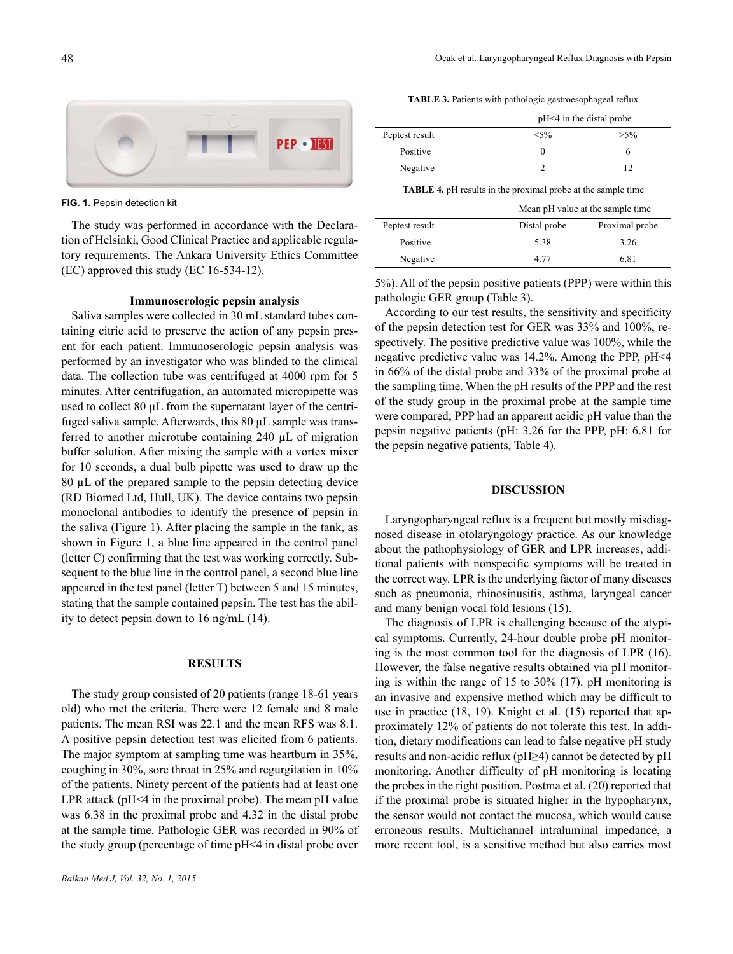**TABLE 3.** Patients with pathologic gastroesophageal reflux



**FIG. 1.** Pepsin detection kit

The study was performed in accordance with the Declaration of Helsinki, Good Clinical Practice and applicable regulatory requirements. The Ankara University Ethics Committee (EC) approved this study (EC 16-534-12).

#### **Immunoserologic pepsin analysis**

Saliva samples were collected in 30 mL standard tubes containing citric acid to preserve the action of any pepsin present for each patient. Immunoserologic pepsin analysis was performed by an investigator who was blinded to the clinical data. The collection tube was centrifuged at 4000 rpm for 5 minutes. After centrifugation, an automated micropipette was used to collect 80 µL from the supernatant layer of the centrifuged saliva sample. Afterwards, this 80 µL sample was transferred to another microtube containing 240 µL of migration buffer solution. After mixing the sample with a vortex mixer for 10 seconds, a dual bulb pipette was used to draw up the 80 µL of the prepared sample to the pepsin detecting device (RD Biomed Ltd, Hull, UK). The device contains two pepsin monoclonal antibodies to identify the presence of pepsin in the saliva (Figure 1). After placing the sample in the tank, as shown in Figure 1, a blue line appeared in the control panel (letter C) confirming that the test was working correctly. Subsequent to the blue line in the control panel, a second blue line appeared in the test panel (letter T) between 5 and 15 minutes, stating that the sample contained pepsin. The test has the ability to detect pepsin down to 16 ng/mL (14).

#### **RESULTS**

The study group consisted of 20 patients (range 18-61 years old) who met the criteria. There were 12 female and 8 male patients. The mean RSI was 22.1 and the mean RFS was 8.1. A positive pepsin detection test was elicited from 6 patients. The major symptom at sampling time was heartburn in 35%, coughing in 30%, sore throat in 25% and regurgitation in 10% of the patients. Ninety percent of the patients had at least one LPR attack (pH<4 in the proximal probe). The mean pH value was 6.38 in the proximal probe and 4.32 in the distal probe at the sample time. Pathologic GER was recorded in 90% of the study group (percentage of time pH<4 in distal probe over

| Peptest result | $pH<4$ in the distal probe |        |  |
|----------------|----------------------------|--------|--|
|                | $< 5\%$                    | $>5\%$ |  |
| Positive       | $\Omega$                   | b      |  |
| Negative       | C                          | 12     |  |

**TABLE 4.** pH results in the proximal probe at the sample time

|                |              | Mean pH value at the sample time |  |  |
|----------------|--------------|----------------------------------|--|--|
| Peptest result | Distal probe | Proximal probe                   |  |  |
| Positive       | 5.38         | 3.26                             |  |  |
| Negative       | 4 77         | 6.81                             |  |  |

5%). All of the pepsin positive patients (PPP) were within this pathologic GER group (Table 3).

According to our test results, the sensitivity and specificity of the pepsin detection test for GER was 33% and 100%, respectively. The positive predictive value was 100%, while the negative predictive value was 14.2%. Among the PPP, pH<4 in 66% of the distal probe and 33% of the proximal probe at the sampling time. When the pH results of the PPP and the rest of the study group in the proximal probe at the sample time were compared; PPP had an apparent acidic pH value than the pepsin negative patients (pH: 3.26 for the PPP, pH: 6.81 for the pepsin negative patients, Table 4).

#### **DISCUSSION**

Laryngopharyngeal reflux is a frequent but mostly misdiagnosed disease in otolaryngology practice. As our knowledge about the pathophysiology of GER and LPR increases, additional patients with nonspecific symptoms will be treated in the correct way. LPR is the underlying factor of many diseases such as pneumonia, rhinosinusitis, asthma, laryngeal cancer and many benign vocal fold lesions (15).

The diagnosis of LPR is challenging because of the atypical symptoms. Currently, 24-hour double probe pH monitoring is the most common tool for the diagnosis of LPR (16). However, the false negative results obtained via pH monitoring is within the range of 15 to 30% (17). pH monitoring is an invasive and expensive method which may be difficult to use in practice (18, 19). Knight et al. (15) reported that approximately 12% of patients do not tolerate this test. In addition, dietary modifications can lead to false negative pH study results and non-acidic reflux (pH≥4) cannot be detected by pH monitoring. Another difficulty of pH monitoring is locating the probes in the right position. Postma et al. (20) reported that if the proximal probe is situated higher in the hypopharynx, the sensor would not contact the mucosa, which would cause erroneous results. Multichannel intraluminal impedance, a more recent tool, is a sensitive method but also carries most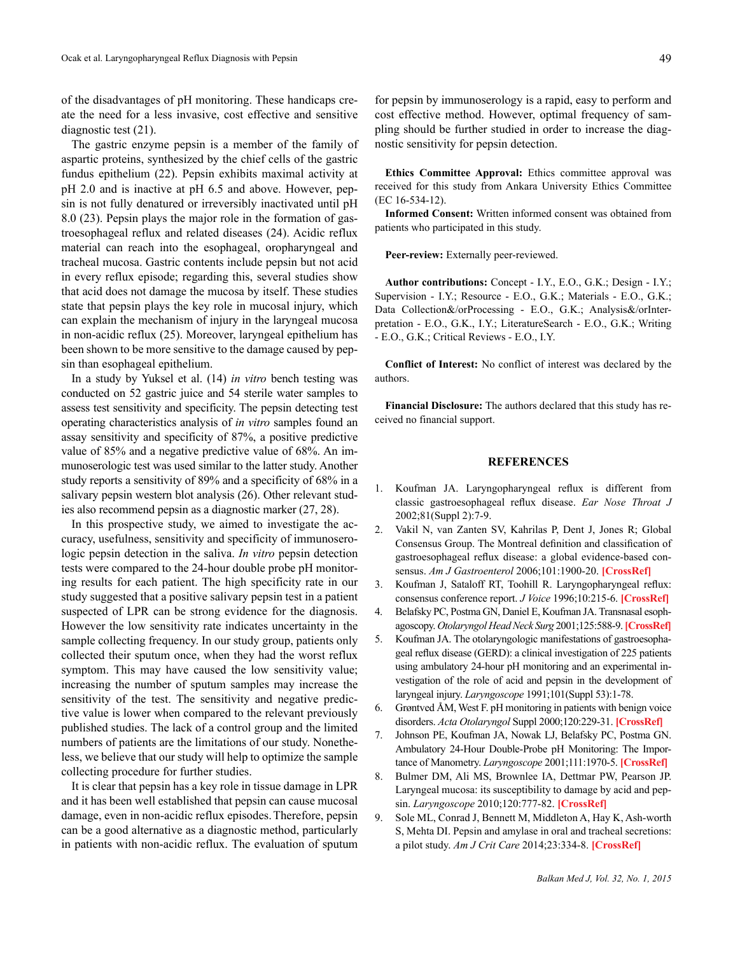of the disadvantages of pH monitoring. These handicaps create the need for a less invasive, cost effective and sensitive diagnostic test (21).

The gastric enzyme pepsin is a member of the family of aspartic proteins, synthesized by the chief cells of the gastric fundus epithelium (22). Pepsin exhibits maximal activity at pH 2.0 and is inactive at pH 6.5 and above. However, pepsin is not fully denatured or irreversibly inactivated until pH 8.0 (23). Pepsin plays the major role in the formation of gastroesophageal reflux and related diseases (24). Acidic reflux material can reach into the esophageal, oropharyngeal and tracheal mucosa. Gastric contents include pepsin but not acid in every reflux episode; regarding this, several studies show that acid does not damage the mucosa by itself. These studies state that pepsin plays the key role in mucosal injury, which can explain the mechanism of injury in the laryngeal mucosa in non-acidic reflux (25). Moreover, laryngeal epithelium has been shown to be more sensitive to the damage caused by pepsin than esophageal epithelium.

In a study by Yuksel et al. (14) *in vitro* bench testing was conducted on 52 gastric juice and 54 sterile water samples to assess test sensitivity and specificity. The pepsin detecting test operating characteristics analysis of *in vitro* samples found an assay sensitivity and specificity of 87%, a positive predictive value of 85% and a negative predictive value of 68%. An immunoserologic test was used similar to the latter study. Another study reports a sensitivity of 89% and a specificity of 68% in a salivary pepsin western blot analysis (26). Other relevant studies also recommend pepsin as a diagnostic marker (27, 28).

In this prospective study, we aimed to investigate the accuracy, usefulness, sensitivity and specificity of immunoserologic pepsin detection in the saliva. *In vitro* pepsin detection tests were compared to the 24-hour double probe pH monitoring results for each patient. The high specificity rate in our study suggested that a positive salivary pepsin test in a patient suspected of LPR can be strong evidence for the diagnosis. However the low sensitivity rate indicates uncertainty in the sample collecting frequency. In our study group, patients only collected their sputum once, when they had the worst reflux symptom. This may have caused the low sensitivity value; increasing the number of sputum samples may increase the sensitivity of the test. The sensitivity and negative predictive value is lower when compared to the relevant previously published studies. The lack of a control group and the limited numbers of patients are the limitations of our study. Nonetheless, we believe that our study will help to optimize the sample collecting procedure for further studies.

It is clear that pepsin has a key role in tissue damage in LPR and it has been well established that pepsin can cause mucosal damage, even in non-acidic reflux episodes.Therefore, pepsin can be a good alternative as a diagnostic method, particularly in patients with non-acidic reflux. The evaluation of sputum

for pepsin by immunoserology is a rapid, easy to perform and cost effective method. However, optimal frequency of sampling should be further studied in order to increase the diagnostic sensitivity for pepsin detection.

**Ethics Committee Approval:** Ethics committee approval was received for this study from Ankara University Ethics Committee (EC 16-534-12).

**Informed Consent:** Written informed consent was obtained from patients who participated in this study.

Peer-review: Externally peer-reviewed.

**Author contributions:** Concept - I.Y., E.O., G.K.; Design - I.Y.; Supervision - I.Y.; Resource - E.O., G.K.; Materials - E.O., G.K.; Data Collection&/orProcessing - E.O., G.K.; Analysis&/orInterpretation - E.O., G.K., I.Y.; LiteratureSearch - E.O., G.K.; Writing - E.O., G.K.; Critical Reviews - E.O., I.Y.

**Conflict of Interest:** No conflict of interest was declared by the authors.

**Financial Disclosure:** The authors declared that this study has received no financial support.

## **REFERENCES**

- 1. Koufman JA. Laryngopharyngeal reflux is different from classic gastroesophageal reflux disease. *Ear Nose Throat J*  2002;81(Suppl 2):7-9.
- 2. Vakil N, van Zanten SV, Kahrilas P, Dent J, Jones R; Global Consensus Group. The Montreal definition and classification of gastroesophageal reflux disease: a global evidence-based consensus. *Am J Gastroenterol* 2006;101:1900-20. **[\[CrossRef\]](http://dx.doi.org/10.1111/j.1572-0241.2006.00630.x)**
- 3. Koufman J, Sataloff RT, Toohill R. Laryngopharyngeal reflux: consensus conference report. *J Voice* 1996;10:215-6. **[\[CrossRef\]](http://dx.doi.org/10.1016/S0892-1997(96)80001-4)**
- 4. Belafsky PC, Postma GN, Daniel E, Koufman JA. Transnasal esophagoscopy. *Otolaryngol Head Neck Surg* 2001;125:588-9. **[\[CrossRef](http://dx.doi.org/10.1067/mhn.2001.120427)]**
- 5. Koufman JA. The otolaryngologic manifestations of gastroesophageal reflux disease (GERD): a clinical investigation of 225 patients using ambulatory 24-hour pH monitoring and an experimental investigation of the role of acid and pepsin in the development of laryngeal injury. *Laryngoscope* 1991;101(Suppl 53):1-78.
- 6. Grøntved ÅM, West F. pH monitoring in patients with benign voice disorders. *Acta Otolaryngol* Suppl 2000;120:229-31. **[[CrossRef\]](http://dx.doi.org/10.1080/000164800454468)**
- 7. Johnson PE, Koufman JA, Nowak LJ, Belafsky PC, Postma GN. Ambulatory 24-Hour Double-Probe pH Monitoring: The Importance of Manometry. *Laryngoscope* 2001;111:1970-5. **[[CrossRef](http://dx.doi.org/10.1097/00005537-200111000-00019)]**
- 8. Bulmer DM, Ali MS, Brownlee IA, Dettmar PW, Pearson JP. Laryngeal mucosa: its susceptibility to damage by acid and pepsin. *Laryngoscope* 2010;120:777-82. **[[CrossRef\]](http://dx.doi.org/10.1002/lary.20665)**
- 9. Sole ML, Conrad J, Bennett M, Middleton A, Hay K, Ash-worth S, Mehta DI. Pepsin and amylase in oral and tracheal secretions: a pilot study. *Am J Crit Care* 2014;23:334-8. **[[CrossRef](http://dx.doi.org/10.4037/ajcc2014292)]**